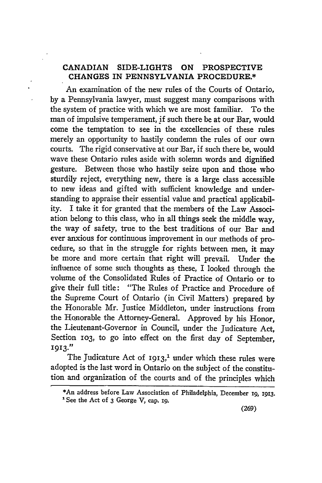## **CANADIAN** SIDE-LIGHTS **ON** PROSPECTIVE **CHANGES** IN PENNSYLVANIA PROCEDURE.\*

An examination of the new rules of the Courts of Ontario, by a Pennsylvania lawyer, must suggest many comparisons with the system of practice with which we are most familiar. To the man of impulsive temperament, if such there be at our Bar, would come the temptation to see in the excellencies of these rules merely an opportunity to hastily condemn the rules of our own courts. The rigid conservative at our Bar, if such there be, would wave these Ontario rules aside with solemn words and dignified gesture. Between those who hastily seize upon and those who sturdily reject, everything new, there is a large class accessible to new ideas and gifted with sufficient knowledge and understanding to appraise their essential value and practical applicability. I take it for granted that the members of the Law Association belong to this class, who in all things seek the middle way, the way of safety, true to the best traditions of our Bar and ever anxious for continuous improvement in our methods of procedure, so that in the struggle for rights between men, it may be more and more certain that right will prevail. Under the influence of some such thoughts as these, I looked through the volume of the Consolidated Rules of Practice of Ontario or to give their full title: "The Rules of Practice and Procedure of the Supreme Court of Ontario (in Civil Matters) prepared by the Honorable Mr. Justice Middleton, under instructions from the Honorable the Attorney-General. Approved by his Honor, the Lieutenant-Governor in Council, under the Judicature Act, Section 103, to go into effect on the first day of September, **1913."**

The Judicature Act of  $1913$ ,<sup>1</sup> under which these rules were adopted is the last word in Ontario on the subject of the constitution and organization of the courts and of the principles which

<sup>\*</sup>An address before Law Association of Philadelphia, December **19, 1913.**

**<sup>1</sup>** See the Act **of** 3 George V, cap. **i9.**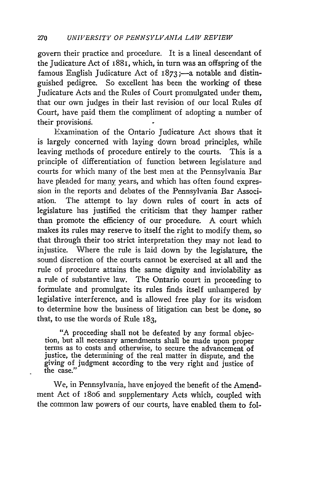govern their practice and procedure. It is a lineal descendant of the Judicature Act of i88i, which, in turn was an offspring of the famous English Judicature Act of  $1873$ ; --- a notable and distinguished pedigree. So excellent has been the working of these Judicature Acts and the Rules of Court promulgated under them, that our own judges in their last revision of our local Rules of Court, have paid them the compliment of adopting a number of their provisions.

Examination of the Ontario Judicature Act shows that it is largely concerned with laying down broad principles, while leaving methods of procedure entirely to the courts. This is a principle of differentiation of function between legislature and courts for which many of the best men at the Pennsylvania Bar have pleaded for many years, and which has often found expression in the reports and debates of the Pennsylvania Bar Association. The attempt to lay down rules of court in acts of legislature has justified the criticism that they hamper rather than promote the efficiency of our procedure. A court which makes its rules may reserve to itself the right to modify them, so that through their too strict interpretation they may not lead to injustice. Where the rule is laid down by the legislature, the sound discretion of the courts cannot be exercised at all and the rule of procedure attains the same dignity and inviolability as a rule of substantive law. The Ontario court in proceeding to formulate and promulgate its rules finds itself unhampered by legislative interference, and is allowed free play for its wisdom to determine how the business of litigation can best be done, so that, to use the words of Rule 183,

"A proceeding shall not be defeated by any formal objection, but all necessary amendments shall be made upon proper terms as to costs and otherwise, to secure the advancement of justice, the determining of the real matter in dispute, and the giving of judgment according to the very right and justice of the case."

We, in Pennsylvania, have enjoyed the benefit of the Amendment Act of i8o6 and supplementary Acts which, coupled with the common law powers of our courts, have enabled them to fol-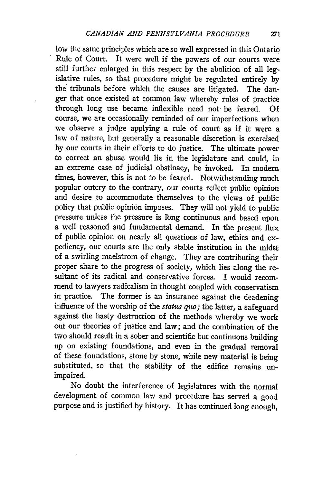low the same principles which are so well expressed in this Ontario Rule of Court. It were well if the powers of our courts were still further enlarged in this respect **by** the abolition of all legislative rules, so that procedure might be regulated entirely **by** the tribunals before which the causes are litigated. The danger that once existed at common law whereby rules of practice through long use became inflexible need not be feared. Of course, we are occasionally reminded of our imperfections when we observe a judge applying a rule of court as if it were a law of nature, but generally a reasonable discretion is exercised by our courts in their efforts to do justice. The ultimate power to correct an abuse would lie in the legislature and could, in an extreme case of judicial obstinacy, be invoked. In modem times, however, this is not to be feared. Notwithstanding much popular outcry to the contrary, our courts reflect public opinion and desire to accommodate themselves to the views of public policy that public opinion imposes. They will not yield to public pressure unless the pressure is lbng continuous and based upon a well reasoned and fundamental demand. In the present flux of public opinion on nearly all questions of law, ethics and expediency, our courts are the only stable institution in the midst of a swirling maelstrom of change. They are contributing their proper share to the progress of society, which lies along the resultant of its radical and conservative forces. I would recommend to lawyers radicalism in thought coupled with conservatism in practice. The former is an insurance against the deadening influence of the worship of the *status quo;* the latter, a safeguard against the hasty destruction of the methods whereby we work out our theories of justice and law; and the combination of the two should result in a sober and scientific but continuous building up on existing foundations, and even in the gradual removal of these foundations, stone by stone, while new material is being substituted, so that the stability of the edifice remains unimpaired.

No doubt the interference of legislatures with the normal development of common law and procedure has served a good purpose and is justified by history. It has continued long enough,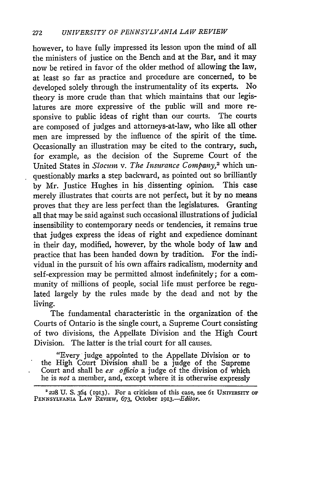however, to have fully impressed its lesson upon the mind of all the ministers of justice on the Bench and at the Bar, and it may now be retired in favor of the older method of allowing the law, at least so far as practice and procedure are concerned, to be developed solely through the instrumentality of its experts. No theory is more crude than that which maintains that our legislatures are more expressive of the public will and more responsive to public ideas of right than our courts. The courts are composed of judges and attorneys-at-law, who like all other men are impressed by the influence of the spirit of the time. Occasionally an illustration may be cited to the contrary, such, for example, as the decision of the Supreme Court of the United States in *Slocum v. The Insurance Company,2* which unquestionably marks a step backward, as pointed out so brilliantly by Mr. Justice Hughes in his dissenting opinion. This case merely illustrates that courts are not perfect, but it by no means proves that they are less perfect than the legislatures. Granting all that may be said against such occasional illustrations of judicial insensibility to contemporary needs or tendencies, it remains true that judges express the ideas of right and expedience dominant in their day, modified, however, by the whole body of law and practice that has been handed down by tradition. For the individual in the pursuit of his own affairs radicalism, modernity and self-expression may be permitted almost indefinitely; for a community of millions of people, social life must perforce be regulated largely **by** the rules made by the dead and not by the living.

The fundamental characteristic in the organization of the Courts of Ontario is the single court, a Supreme Court consisting of two divisions, the Appellate Division and the High Court Division. The latter is the trial court for all causes.

"Every judge appointed to the Appellate Division or to the High Court Division shall be a judge of the Supreme Court and shall be ex *officio* a judge of the division of which he is *not* a member, and, except where it is otherwise expressly

**2228 U.S. 2264 (1913).** For a criticism of this case, see 61 UNIVERSITY OF PENNSYLVANIA **LAW** REVIEW, 673, October 1913.-Editor.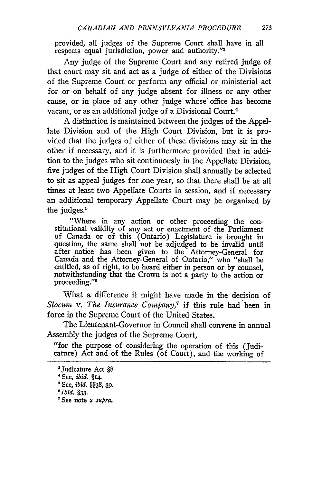provided, all judges of the Supreme Court shall have in all respects equal jurisdiction, power and authority."

Any judge of the Supreme Court and any retired judge of that court may sit and act as a judge of either of the Divisions of the Supreme Court or perform any official or ministerial act for or on behalf of any judge absent for illness or any other cause, or in place of any other judge whose office has become vacant, or as an additional judge of a Divisional Court.<sup>4</sup>

A distinction is maintained between the judges of the Appellate Division and of the High Court Division, but it is provided that the judges of either of these divisions may sit in the other if necessary, and it is furthermore provided that in addition to the judges who sit continuously in the Appellate Division, five judges of the High Court Division shall annually be selected to sit as appeal judges for one year, so that there shall be at all times at least two Appellate Courts in session, and if necessary an additional temporary Appellate Court may be organized **by** the judges.<sup>5</sup>

"Where in any action or other proceeding the constitutional validity of any act or enactment of the Parliament of Canada or of this (Ontario) Legislature is brought in question, the same shall not be adjudged to be invalid until after notice has been given to the Attorney-General for Canada and the Attorney-General of Ontario," who "shall be entitled, as of right, to be heard either in person or by counsel, notwithstanding that the Crown is not a party to the action or proceeding."'

What a difference it might have made in the decision of *Slocum v. The Insurance Company,7* if this rule had been in force in the Supreme Court of the United States.

The Lieutenant-Governor in Council shall convene in annual Assembly the judges of the Supreme Court,

"for the purpose of considering the operation of this (Judicature) Act and of the Rules (of Court), and the working of

<sup>&</sup>quot;Judicature Act **§8.**

<sup>&#</sup>x27;See, *ibid. §ir4.*

<sup>&#</sup>x27; See, *ibid.* **§§38,** 39.

*<sup>1</sup> lbid. §33.*

<sup>&#</sup>x27;See note 2 *supra.*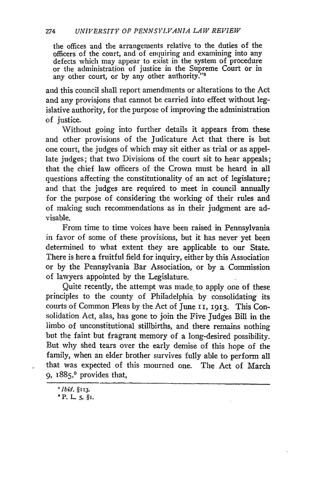the offices and the arrangements relative to the duties of the officers of the court, and of enquiring and examining into any defects which may appear to exist in the system of procedure or the administration of justice in the Supreme Court or in any other court, or by any other authority."<sup>8</sup>

and this council shall report amendments or alterations to the Act and any provisions that cannot be carried into effect without legislative authority, for the purpose of improving the administration of justice.

Without going into further details it appears from these and other provisions of the Judicature Act that there is but one court, the judges of which may sit either as trial or as appellate judges; that two Divisions of the court sit to hear appeals; that the chief law officers of the Crown must be heard in all questions affecting the constitutionality of an act of legislature; and that the judges are required to meet in council annually for the purpose of considering the working of their rules and of making such recommendations as in their judgment are advisable.

From time to time voices have been raised in Pennsylvania in favor of some of these provisions, but it has never yet been determined to what extent they are applicable to our State. There is here a fruitful field for inquiry, either by this Association or by the Pennsylvania Bar Association, or by a Commission of lawyers appointed by the Legislature.

Quite recently, the attempt was made to apply one of these principles to the county of Philadelphia by consolidating its courts of Common Pleas by the Act of June Ii, **1913.** This Consolidation Act, alas, has gone to join the Five Judges Bill in the limbo of unconstitutional stillbirths, and there remains nothing but the faint but fragrant memory of a long-desired possibility. But why shed tears over the early demise of this hope of the family, when an elder brother survives fully able to perform all that was expected of this mourned one. The Act of March 9,  $1885$ , provides that,

<sup>&#</sup>x27;Ibid. **§113.**

**<sup>&#</sup>x27;P. L. 5,** §1.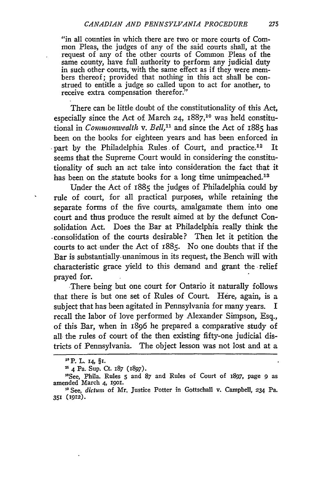"in all counties in which there are two or more courts of Common Pleas, the judges of any of the said courts shall, at the request of any of the other courts of Common Pleas of the same county, have full authority to perform any judicial duty in such other courts, with the same effect as if they were members thereof; provided that nothing in this act shall be construed to entitle a judge so called upon to act for another, to receive extra compensation therefor."

There can be little doubt of the constitutionality of this Act, especially since the Act of March 24,  $1887$ ,<sup>10</sup> was held constitutional in *Commonwealth* v. *Bell*,<sup>11</sup> and since the Act of 1885 has been on the books for eighteen years and has been enforced in part by the Philadelphia Rules of Court, and practice.<sup>12</sup> It seems that the Supreme Court would in considering the constitutionality of such an act take into consideration the fact that it has been on the statute books for a long time unimpeached.<sup>13</sup>

Under the Act of 1885 the judges of Philadelphia could by rule of court, for all practical purposes, while retaining the separate forms of the five courts, amalgamate them into one court and thus produce the result aimed at **by** the defunct Consolidation Act. Does the Bar at Philadelphia really think the -consolidation of the courts desirable? Then let it petition the courts to act under the Act of 1885. No one doubts that if the Bar is substantially unanimous in its request, the Bench will with characteristic grace yield to this demand and grant the relief prayed for.

There being but one court for Ontario it naturally follows that there is but one set of Rules of Court. Here, again, is a subject that has been agitated in Pennsylvania for many years. I recall the labor of love performed **by** Alexander Simpson, Esq., of this Bar, when in 1896 he prepared a comparative study of all- the rules of court of the then existing fifty-one judicial districts of Pennsylvania. The object lesson was not lost and at a

<sup>&</sup>quot;P. L. 14, **§1.**

**<sup>&#</sup>x27;** 4 Pa. Sup. Ct. 187 (1897).

<sup>&</sup>quot;See, Phila. Rules 5 and 87 and Rules of Court of 1897, page 9 as amended March 4, i9ol.

<sup>&</sup>lt;sup>13</sup> See, *dictum* of Mr. Justice Potter in Gottschall v. Campbell, 234 Pa. **351** (1912).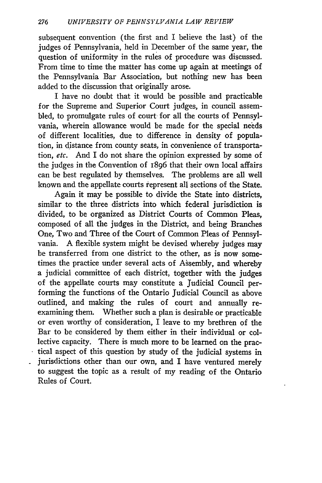subsequent convention (the first and I believe the last) of the judges of Pennsylvania, held in December of the same year, the question of uniformity in the rules of procedure was discussed. From time to time the matter has come up again at meetings of the Pennsylvania Bar Association, but nothing new has been added to the discussion that originally arose.

I have no doubt that it would be possible and practicable for the Supreme and Superior Court judges, in council assembled, to promulgate rules of court- for all the courts of Pennsylvania, wherein allowance would be made for the special needs of different localities, due to difference in density of population, in distance from county seats, in convenience of transportation, etc. And I do not share the opinion expressed by some of the judges in the Convention of 1896 that their own local affairs can be best regulated by themselves. The problems are all well known and the appellate courts represent all sections of the State.

Again it may be possible to divide the State into districts, similar to the three districts into which federal jurisdiction is divided, to be organized as District Courts of Common Pleas, composed of all the judges in the District, and being Branches One, Two and Three of the Court of Common Pleas of Pennsylvania. A flexible system might be devised whereby judges may be transferred from one district to the other, as is now sometimes the practice under several acts of Assembly, and whereby a judicial committee of each district, together with the judges of the appellate courts may constitute a Judicial Council performing the functions of the Ontario Judicial Council as above outlined, and making the rules of court and annually reexamining them. Whether such a plan is desirable or practicable or even worthy of consideration, I leave to my brethren of the Bar to be considered by them either in their individual or collective capacity. There is much more to be learned on the practical aspect of this question by study of the judicial systems in jurisdictions other than our own, and I have ventured merely to suggest the topic as a result of my reading of the Ontario Rules of Court.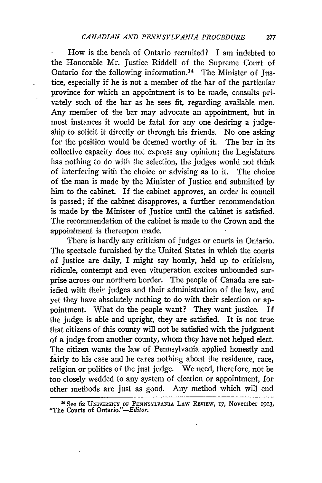How is the bench of Ontario recruited? I am indebted to the Honorable Mr. Justice Riddell of the Supreme Court of Ontario for the following information.<sup>14</sup> The Minister of Justice, especially if he is not a member of the bar of the particular province for which an appointment is to be made, consults privately such of the bar as he sees fit, regarding available men. Any member of the bar may advocate an appointment, but in most instances it would be fatal for any one desiring a judgeship to solicit it directly or through his friends. No one asking for the position would be deemed worthy of it. The bar in its collective capacity does not express any opinion; the Legislature has nothing to do with the selection, the judges would not think of interfering with the choice or advising as to it. The choice of the man is made by the Minister of Justice and submitted by him to the cabinet. If the cabinet approves, an order in council is passed; if the cabinet disapproves, a further recommendation is made by the Minister of Justice until the cabinet is satisfied. The recommendation of the cabinet is made to the Crown and the appointment is thereupon made.

There is hardly any criticism of judges or courts in Ontario. The spectacle furnished by the United States in which the courts of justice are daily, I might say hourly, held up to criticism, ridicule, contempt and even vituperation excites unbounded surprise across our northern border. The people of Canada are satisfied with their judges and their administration of the law, and yet they have absolutely nothing to do with their selection or appointment. What do the people want? They want justice. If the judge is able and upright, they are satisfied. It is not true that citizens of this county will not be satisfied with the judgment **of** a judge from another county, whom they have not helped elect. The citizen wants the law of Pennsylvania applied honestly and fairly to his case and he cares nothing about the residence, race, religion or politics of the just judge. We need, therefore, not be too closely wedded to any system of election or appointment, for other methods are just as good. Any method which will end

277

**<sup>&</sup>quot; See 62** UNIVERSITY **OF PENNSYLVANIA LAW REVIEV,** 17, November **1913,** "The Courts of *Ontario."-Editor.*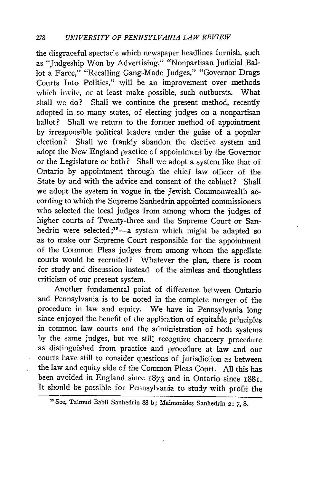the disgraceful spectacle which newspaper headlines furnish, such as "Judgeship Won by Advertising," "Nonpartisan Judicial Ballot a Farce," "Recalling Gang-Made Judges," "Governor Drags Courts Into Politics," will be an improvement over methods which invite, or at least make possible, such outbursts. What shall we do? Shall we continue the present method, recently adopted in so many states, of electing judges on a nonpartisan ballot? Shall we return to the former method of appointment by irresponsible political leaders under the guise of a popular election? Shall we frankly abandon the elective system and adopt the New England practice of appointment by the Governor or the Legislature or both? Shall we adopt a system like that of Ontario by appointment through the chief law officer of the State by and with the advice and consent of the cabinet? Shall we adopt the system in vogue in the Jewish Commonwealth according to which the Supreme Sanhedrin appointed commissioners who selected the local judges from among whom the judges of higher courts of Twenty-three and the Supreme Court or Sanhedrin were selected **;15-a** system which might be adapted so as to make our Supreme Court responsible for the appointment of the Common Pleas judges from among whom the appellate courts would be recruited? Whatever the plan, there is room for study and discussion instead of the aimless and thoughtless criticism of our present system.

Another fundamental point of difference between Ontario and Pennsylvania is to be noted in the complete merger of the procedure in law and equity. We have in Pennsylvania long since enjoyed the benefit of the application of equitable principles in common law courts and the administration of both systems by the same judges, but we still recognize chancery procedure as distinguished from practice and procedure at law and our courts have still to consider questions of jurisdiction as between the law and equity side of the Common Pleas Court. All this has been avoided in England since 1873 and in Ontario since i881. It should be possible for Pennsylvania to study with profit the

<sup>&</sup>quot; 5 See, Talmud Babli Sanhedrin 88 b; Maimonides Sanhedrin 2: *7,* 8.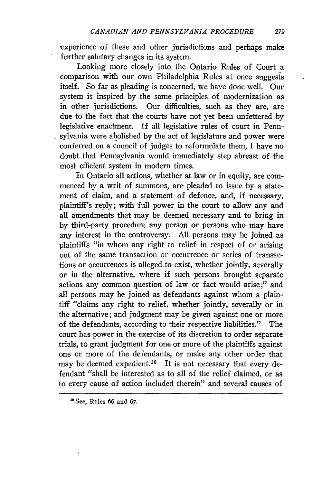experience of these and other jurisdictions and perhaps make further salutary changes in its system.

Looking more closely into the Ontario Rules of Court a comparison with our own Philadelphia Rules at once suggests itself. So far as pleading is concerned, we have done well. Our system is inspired **by** the same principles of modernization as in other jurisdictions. Our difficulties, such as they are, are due to the fact that the courts have not yet been unfettered **by** legislative enactment. If all legislative rules of court in Pennsylvania were abolished **by** the act of legislature and power were conferred on a council of judges to reformulate them, I have no doubt that Pennsylvania would immediately step abreast of the most efficient system in modern times.

In Ontario all actions, whether at law or in equity, are commenced **by** a writ of summons, are pleaded to issue **by** a statement of claim, and a statement of defence, and, if necessary, plaintiff's reply; with full power in the court to allow any and all amendments that may be deemed necessary and to bring in **by** third-party procedure any person or persons who may have any interest in the controversy. **All** persons may be joined as plaintiffs "in whom any right to relief- in respect of or arising out of the same transaction or occurrence or series of transactions or occurrences is alleged.to exist, whether jointly, severally or in the alternative, where if such persons brought separate actions any common question of law or fact would arise;" and all persons may be joined as defendants against whom a plaintiff "claims any right to relief, whether jointly, severally or in the alternative; and judgment may be given against one or more of the defendants, according to their respective liabilities." The court has power in the exercise of its discretion to order separate trials, to grant judgment for one or more of the plaintiffs against one or more of the defendants, or make any other order that may be deemed expedient.<sup>16</sup> It is not necessary that every defendant "shall be interested as to all of the relief claimed, or as to every cause of action included therein" and several causes of

279

**<sup>&</sup>quot;** See, Rules 66 and **67.**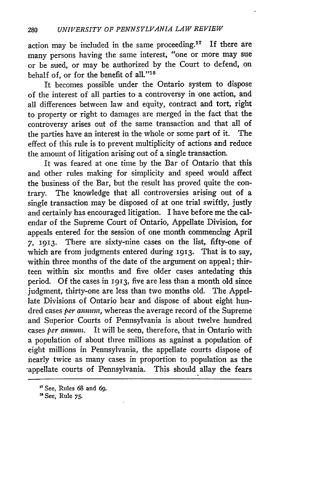action may be included in the same proceeding.17 If there are many persons having the same interest, "one or more may sue or be sued, or may be authorized by the Court to defend, on behalf of, or for the benefit of all."<sup>18</sup>

It becomes possible under the Ontario system to dispose of the interest of all parties to a controversy in one action, and all differences between law and equity, contract and tort, right to property or right to damages are merged in the fact that the controversy arises out of the same transaction and that all of the parties have an interest in the whole or some part of it. The effect of this rule is to prevent multiplicity of actions and reduce the amount of litigation arising out of a single transaction.

It was feared at one time by the Bar of Ontario that this and other rules making for simplicity and speed would affect the business of the Bar, but the result has proved quite the contrary. The knowledge that all controversies arising out of a single transaction may be disposed of at one trial swiftly, justly and certainly has encouraged litigation. I have before me the calendar of the Supreme Court of Ontario, Appellate Division, for appeals entered for the session of one month commencing April 7, **1913.** There are sixty-nine cases on the list, fifty-one of which are from judgments entered during **1913.** That is to say, within three months of the date of the argument on appeal; thirteen within six months and five older cases antedating this period. **Of** the cases in **1913,** five are less than a month old since judgment, thirty-one are less than two months old. The Appellate Divisions of Ontario hear and dispose of about eight hundred cases *per annum,* whereas the average record of the Supreme and Superior Courts of Pennsylvania is about twelve hundred cases *per annum.* It will be seen, therefore, that in Ontario with a population of about three millions as against a population of eight millions in Pennsylvania, the appellate courts dispose of nearly twice as many cases in proportion to population as the -appellate courts of Pennsylvania. This should allay the fears

<sup>&</sup>lt;sup>17</sup> See, Rules 68 and 69.

<sup>&</sup>quot;See, Rule **75.**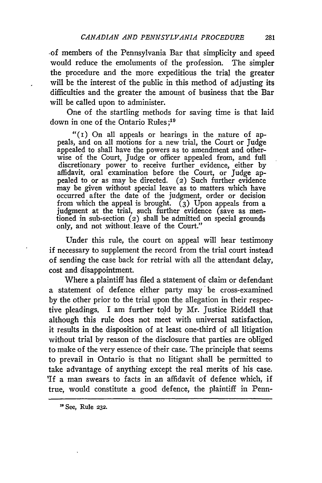-of members of the Pennsylvania Bar that simplicity and speed would reduce the emoluments of the profession. The simpler the procedure and the more expeditious the trial the greater will be the interest of the public in this method of adjusting its difficulties and the greater the amount of business that the Bar will be called upon to administer.

One of the startling methods for saving time is that laid down in one of the Ontario Rules **;19**

"(i) On all appeals or hearings in the nature of appeals, and on all motions for a new trial, the Court or Judge appealed to shall have the powers as to amendment and otherappealed to shall have the powers as to amendment and otherwise of the Court, Judge or officer appealed from, and full discretionary power to receive further evidence, either by affidavit, oral examination before the Court, or Judge appealed to or as may be directed. (2) Such further evidence may be given without special leave as to matters which have occurred after the date of the judgment, order or decision from which the appeal is brought.  $\zeta_3$ ) Upon appeals from a judgment at the trial, such further evidence (save as mentioned in sub-section (2) shall be admitted on special grounds only, and not without leave of the Court."

Under this rule, the court on appeal will hear testimony if necessary to supplement the record from the trial court instead of sending the case back for retrial with all the attendant delay, cost and disappointment.

Where a plaintiff has filed a statement of claim or defendant a statement of defence either party may be cross-examined by the other prior to the trial upon the allegation in their respective pleadings. I am further told by Mr. Justice Riddell that although this rule does not meet with universal satisfaction, it results in the disposition of at least one-third of all litigation without trial by reason of the disclosure that parties are obliged to make of the very essence of their case. The principle that seems to prevail in Ontario is that no litigant shall be permitted to take advantage of anything except the real merits of his case. 'If a man swears to facts in an affidavit of defence which, if true, would constitute a good defence, the plaintiff in Penn-

"See, Rule **232.**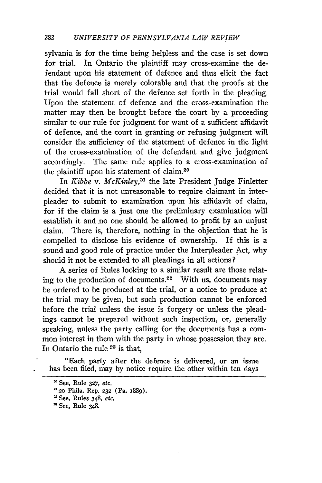sylvania is for the time being helpless and the case is set down for trial. In Ontario the plaintiff may cross-examine the defendant upon his statement of defence and thus elicit the fact that the defence is merely colorable and that the proofs at the trial would fall short of the defence set forth in the pleading. Upon the statement of defence and the cross-examination the matter may then be brought before the court by a proceeding similar to our rule for judgment for want of a sufficient affidavit of defence, and the court in granting or refusing judgment will consider the sufficiency of the statement of defence in the light of the cross-examination of the defendant and give judgment accordingly. The same rule applies to a cross-examination of the plaintiff upon his statement of claim.<sup>20</sup>

In *Kibbe v. McKinley*,<sup>21</sup> the late President Judge Finletter decided that it is not unreasonable to require claimant in interpleader to submit to examination upon his affidavit of claim, for if the claim is a just one the preliminary examination will establish it and no one should be allowed to profit by an unjust claim. There is, therefore, nothing in the objection that he is compelled to disclose his evidence of ownership. If this is a sound and good rule of practice under the Interpleader Act, why should it not be extended to all pleadings in all actions?

A series of Rules looking to a similar result are those relating to the production of documents. 22 With us, documents may be ordered to be produced at the trial, or a notice to produce at the trial may be given, but such production cannot be enforced before the trial unless the issue is forgery or unless the pleadings cannot be prepared without such inspection, or, generally speaking, unless the party calling for the documents has a common interest in them with the party in whose possession they are. In Ontario the rule **23** is that,

"Each party after the defence is delivered, or an issue has been filed, may by notice require the other within ten days

See, Rule **327,** etc.

*<sup>20</sup>* Phila. Rep. **232** (Pa. 1889).

<sup>&</sup>lt;sup>22</sup> See, Rules 348, etc.

**<sup>&#</sup>x27;** See, Rule 348.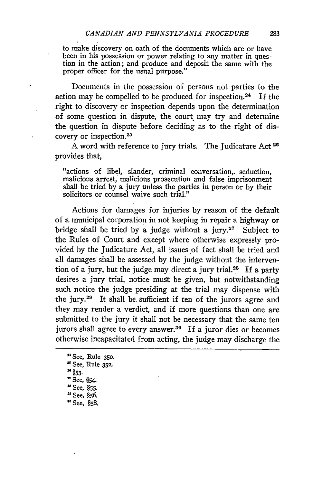to make discovery on oath of the documents which are or have been in his possession or power relating to any matter in question in the action; and produce and deposit the same with the proper officer for the usual purpose."

Documents in the possession of persons not parties to the action may be compelled to be produced for inspection.24 If the right to discovery or inspection depends upon the determination of some question in dispute, the court may try and determine the question in dispute before deciding as to the right of discovery or inspection. <sup>25</sup>

A word with reference to jury trials. The Judicature Act **<sup>28</sup>** provides that,

"actions of libel, slander, criminal conversation, seduction, malicious arrest, malicious prosecution and false imprisonment shall be tried by a jury unless the parties in person or by their solicitors or counsel waive such trial."

Actions for damages for injuries by reason of the default of a municipal corporation in not keeping in repair a highway or bridge shall be tried by a judge without a jury.27 Subject to the Rules of Court and except where otherwise expressly provided by the Judicature Act, all issues of fact shall be tried and all damages shall be assessed by the judge without the intervention of a jury, but the judge may direct a jury trial.28 If a party desires a jury trial, notice must be given, but notwithstanding such notice the judge presiding at the trial may dispense with the jury.29 It shall be. sufficient if ten of the jurors agree and they may render a verdict, and if more questions than one are submitted to the jury it shall not be necessary that the same ten jurors shall agree to every answer.<sup>30</sup> If a juror dies or becomes otherwise incapacitated from acting, the judge may discharge the

- "See, §55.
- 
- "See, §56. **"'** See, §58.

<sup>&</sup>quot;See, Rule **350.**

<sup>&</sup>lt;sup>26</sup> See, Rule 352.<br><sup>26</sup> §53.

<sup>&#</sup>x27; **§53.** 'See, §54.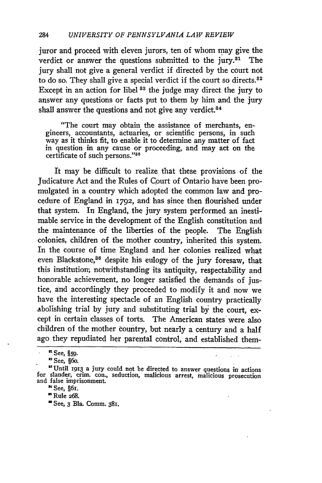juror and proceed with eleven jurors, ten of whom may give the verdict or answer the questions submitted to the jury.<sup>31</sup> The jury shall not give a general verdict if directed by the court not to do so. They shall give a special verdict if the court so directs.<sup>32</sup> Except in an action for libel **33** the judge may direct the jury to answer any questions or facts put to them by him and the jury shall answer the questions and not give any verdict.<sup>34</sup>

"The court may obtain the assistance of merchants, engineers, accountants, actuaries, or scientific persons, in such way as it thinks fit, to enable it to determine any matter of fact in question in any cause or proceeding, and may act on the certificate of such persons."<sup>85</sup>

It may be difficult to realize that these provisions of the Judicature Act and the Rules of Court of Ontario have been promulgated in a country which adopted the common law and procedure of England in **1792,** and has since then flourished under that system. In England, the jury system performed an inestimable service in the development of the English constitution and the maintenance of the liberties of the people. The English colonies, children of the mother country, inherited this system. In the course of time England and her colonies realized what even Blackstone,<sup>36</sup> despite his eulogy of the jury foresaw, that this institution; notwithstanding its antiquity, respectability and honorable achievement, no longer satisfied the demands of justice, and accordingly they proceeded to modify it and now we have the interesting spectacle of an English country practically abolishing trial by jury and substituting trial by the court, except in certain classes of torts. The American states were also children of the mother country, but nearly a century and a half ago they repudiated her parental control, and established them-

'See, **§6o.**

See, **§59.**

**<sup>&</sup>quot;** Until **1913** a jury could not be directed to answer questions in actions for slander, crim. con., seduction, malicious arrest, malicious prosecution and false imprisonment.

<sup>&</sup>quot;See, §61.

**<sup>&</sup>quot;** Rule 268.

See, 3 Bla. Comm. 381.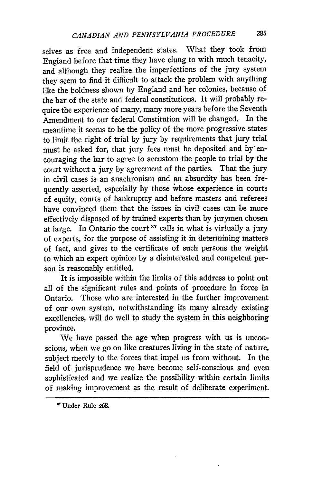selves as free and independent states. What they took from England before that time they have clung to with much tenacity, and although they realize the imperfections of the jury system they seem to find it difficult to attack the problem with anything like the boldness shown by England and her colonies, because of the bar of the state and federal constitutions. It will probably require the experience of many, many more years before the Seventh Amendment to our federal Constitution will be changed. In the meantime it seems to be the policy of the more progressive states to limit the right of trial **by** jury **by** requirements that jury trial must be asked for, that jury fees must be deposited and by encouraging the bar to agree to accustom the people to trial **by** the court without a jury by agreement of the parties. That the jury in civil cases is an anachronism and an absurdity has been frequently asserted, especially by those whose experience in courts of equity, courts of bankruptcy and before masters and referees have convinced them that the issues in civil cases can be more effectively disposed of **by** trained experts than by jurymen chosen at large. In Ontario the court <sup>37</sup> calls in what is virtually a jury of experts, for the purpose of assisting it in determining matters of fact, and gives to the certificate of such persons the weight to which an expert opinion **by** a disinterested and competent person is reasonably entitled.

It is impossible within the limits of this address to point out all of the significant rules and points of procedure in force in Ontario. Those who are interested in the further improvement of our own system, notwithstanding its many already existing excellencies, will do well to study the system in this neighboring province.

We have passed the age when progress with us is unconscious, when we go on like creatures living in the state of nature, subject merely to the forces that impel us from without. In the field of jurisprudence we have become self-conscious and even sophisticated and we realize the possibility within certain limits of making improvement as the result of deliberate experiment.

"Under Rule **268.**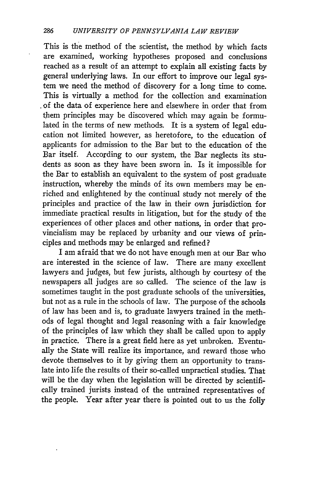This is the method of the scientist, the method by which facts are examined, working hypotheses proposed and conclusions reached as a result of an attempt to explain all existing facts by general underlying laws. In our effort to improve our legal system we need the method of discovery for a long time to come. This is virtually a method for the collection and examination **.of** the data of experience here and elsewhere in order that from them principles may be discovered which may again be formulated in the terms of new methods. It is a system of legal education not limited however, as heretofore, to the education of applicants for admission to the Bar but to the education of the Bar itself. According to our system, the Bar neglects its students as soon as they have been sworn in. Is it impossible for the Bar to establish an equivalent to the system of post graduate instruction, whereby the minds of its own members may be enriched and enlightened by the continual study not merely of the principles and practice of the law in their own jurisdiction for immediate practical results in litigation, but for the study of the experiences of other places and other nations, in order that provincialism may be replaced **by** urbanity and our views of principles and methods may be enlarged and refined?

I am afraid that we do not have enough men at our Bar who are interested in the science of law. There are many excellent lawyers and judges, but few jurists, although **by** courtesy of the newspapers all judges are so called. The science of the law is sometimes taught in the post graduate schools of the universities, but not as a rule in the schools of law. The purpose of the schools of law has been and is, to graduate lawyers trained in the methods of legal thought and legal reasoning with a fair knowledge of the principles of law which they shall be called upon to apply in practice. There is a great field here as yet unbroken. Eventually the State will realize its importance, and reward those who devote themselves to it by giving them an opportunity to translate into life the results of their so-called unpractical studies. That will be the day when the legislation will be directed by scientifically trained jurists instead of the untrained representatives of the people. Year after year there is pointed out to us the folly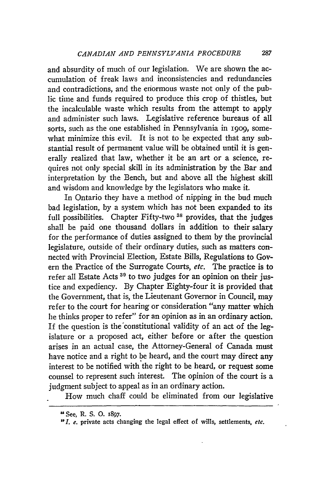and absurdity of much of our legislation. We are shown the accumulation of freak laws and inconsistencies and redundancies and contradictions, and the enormous waste not only of the public time and funds required to produce this crop of thistles, but the incalculable waste which results from the attempt to apply and administer such laws. Legislative reference bureaus of all sorts, such as the one established in Pennsylvania in *i9o9,* somewhat minimize this evil. It is not to be expected that any substantial result of permanent value will be obtained until it is generally realized that law, whether it be an art or a science, requires not only special skill in its administration by the Bar and interpretation by the Bench, but and above all the highest skill and wisdom and knowledge by the legislators who make it.

In Ontario they have a method of nipping in the bud much bad legislation, by a system which has not been expanded to its full possibilities. Chapter Fifty-two **38** provides, that the judges shall be paid one thousand dollars in addition to their salary for the performance of duties assigned to them by the provincial legislature, outside of their ordinary duties, such as matters connected with Provincial Election, Estate Bills, Regulations to Govern the Practice of the Surrogate Courts, *etc.* The practice is to refer all Estate Acts **39** to two judges for an opinion on their justice and expediency. By Chapter Eighty-four it is provided that the Government, that is, the Lieutenant Governor in Council, may refer to the court for hearing or consideration "any matter which he thinks proper to refer" for an opinion as in an ordinary action. If the question is the'constitutional validity of an act of the legislature or a proposed act, either before or after the question arises in an actual case, the Attorney-General of Canada must have notice and a right to be heard, and the court may direct any interest to be notified with the right to be heard, or request some counsel to represent such interest. The opinion of the court is a judgment subject to appeal as in an ordinary action.

How much chaff could be eliminated from our legislative

See, R. S. **0.** 1897.

*<sup>&</sup>quot;I.* e. private acts changing the legal effect of wills, settlements, etc.